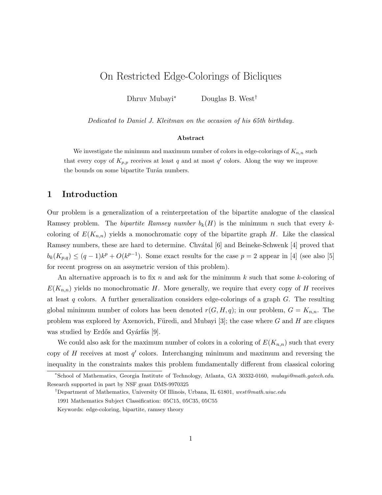# On Restricted Edge-Colorings of Bicliques

Dhruv Mubayi<sup>∗</sup> Douglas B. West†

Dedicated to Daniel J. Kleitman on the occasion of his 65th birthday.

#### Abstract

We investigate the minimum and maximum number of colors in edge-colorings of  $K_{n,n}$  such that every copy of  $K_{p,p}$  receives at least q and at most q' colors. Along the way we improve the bounds on some bipartite Turán numbers.

## 1 Introduction

Our problem is a generalization of a reinterpretation of the bipartite analogue of the classical Ramsey problem. The *bipartite Ramsey number*  $b_k(H)$  is the minimum n such that every kcoloring of  $E(K_{n,n})$  yields a monochromatic copy of the bipartite graph H. Like the classical Ramsey numbers, these are hard to determine. Chvátal [6] and Beineke-Schwenk [4] proved that  $b_k(K_{p,q}) \leq (q-1)k^p + O(k^{p-1})$ . Some exact results for the case  $p=2$  appear in [4] (see also [5] for recent progress on an assymetric version of this problem).

An alternative approach is to fix n and ask for the minimum k such that some k-coloring of  $E(K_{n,n})$  yields no monochromatic H. More generally, we require that every copy of H receives at least q colors. A further generalization considers edge-colorings of a graph  $G$ . The resulting global minimum number of colors has been denoted  $r(G, H, q)$ ; in our problem,  $G = K_{n,n}$ . The problem was explored by Axenovich, Füredi, and Mubayi [3]; the case where  $G$  and  $H$  are cliques was studied by Erdős and Gyárfás [9].

We could also ask for the maximum number of colors in a coloring of  $E(K_{n,n})$  such that every copy of H receives at most  $q'$  colors. Interchanging minimum and maximum and reversing the inequality in the constraints makes this problem fundamentally different from classical coloring

<sup>∗</sup>School of Mathematics, Georgia Institute of Technology, Atlanta, GA 30332-0160, mubayi@math.gatech.edu. Research supported in part by NSF grant DMS-9970325

<sup>&</sup>lt;sup>†</sup>Department of Mathematics, University Of Illinois, Urbana, IL 61801, west@math.uiuc.edu

<sup>1991</sup> Mathematics Subject Classification: 05C15, 05C35, 05C55

Keywords: edge-coloring, bipartite, ramsey theory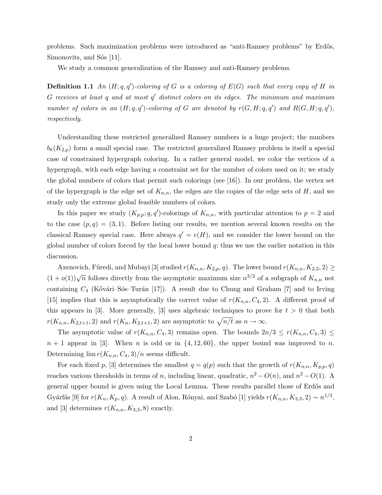problems. Such maximization problems were introduced as "anti-Ramsey problems" by Erdős, Simonovits, and Sós [11].

We study a common generalization of the Ramsey and anti-Ramsey problems.

**Definition 1.1** An  $(H; q, q')$ -coloring of G is a coloring of  $E(G)$  such that every copy of H in  $G$  receives at least q and at most  $q'$  distinct colors on its edges. The minimum and maximum number of colors in an  $(H; q, q')$ -coloring of G are denoted by  $r(G, H; q, q')$  and  $R(G, H; q, q')$ , respectively.

Understanding these restricted generalized Ramsey numbers is a huge project; the numbers  $b_k(K_{2,p})$  form a small special case. The restricted generalized Ramsey problem is itself a special case of constrained hypergraph coloring. In a rather general model, we color the vertices of a hypergraph, with each edge having a constraint set for the number of colors used on it; we study the global numbers of colors that permit such colorings (see [16]). In our problem, the vertex set of the hypergraph is the edge set of  $K_{n,n}$ , the edges are the copies of the edge sets of H, and we study only the extreme global feasible numbers of colors.

In this paper we study  $(K_{p,p}; q, q')$ -colorings of  $K_{n,n}$ , with particular attention to  $p = 2$  and to the case  $(p, q) = (3, 1)$ . Before listing our results, we mention several known results on the classical Ramsey special case. Here always  $q' = e(H)$ , and we consider the lower bound on the global number of colors forced by the local lower bound  $q$ ; thus we use the earlier notation in this discussion.

Axenovich, Füredi, and Mubayi [3] studied  $r(K_{n,n}, K_{2,p}, q)$ . The lower bound  $r(K_{n,n}, K_{2,2}, 2) \geq$ (1+ $o(1)$ ) $\sqrt{n}$  follows directly from the asymptotic maximum size  $n^{3/2}$  of a subgraph of  $K_{n,n}$  not containing  $C_4$  (Kővári–Sós–Turán [17]). A result due to Chung and Graham [7] and to Irving [15] implies that this is asymptotically the correct value of  $r(K_{n,n}, C_4, 2)$ . A different proof of this appears in [3]. More generally, [3] uses algebraic techniques to prove for  $t > 0$  that both  $r(K_{n,n}, K_{2,t+1}, 2)$  and  $r(K_n, K_{2,t+1}, 2)$  are asymptotic to  $\sqrt{n/t}$  as  $n \to \infty$ .

The asymptotic value of  $r(K_{n,n}, C_4, 3)$  remains open. The bounds  $2n/3 \le r(K_{n,n}, C_4, 3) \le$  $n + 1$  appear in [3]. When n is odd or in  $\{4, 12, 60\}$ , the upper bound was improved to n. Determining  $\lim_{n \to \infty} r(K_{n,n}, C_4, 3)/n$  seems difficult.

For each fixed p, [3] determines the smallest  $q = q(p)$  such that the growth of  $r(K_{n,n}, K_{p,p}, q)$ reaches various thresholds in terms of n, including linear, quadratic,  $n^2 - O(n)$ , and  $n^2 - O(1)$ . A general upper bound is given using the Local Lemma. These results parallel those of Erdős and Gyárfás [9] for  $r(K_n, K_p, q)$ . A result of Alon, Rónyai, and Szabó [1] yields  $r(K_{n,n}, K_{3,3}, 2) \sim n^{1/3}$ , and [3] determines  $r(K_{n,n}, K_{3,3}, 8)$  exactly.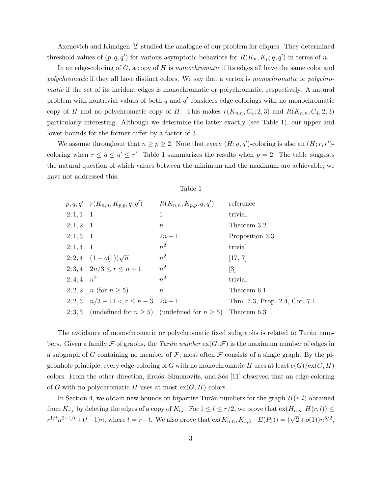Axenovich and Kündgen [2] studied the analogue of our problem for cliques. They determined threshold values of  $(p, q, q')$  for various asymptotic behaviors for  $R(K_n, K_p; q, q')$  in terms of n.

In an edge-coloring of  $G$ , a copy of  $H$  is monochromatic if its edges all have the same color and polychromatic if they all have distinct colors. We say that a vertex is monochromatic or polychromatic if the set of its incident edges is monochromatic or polychromatic, respectively. A natural problem with nontrivial values of both q and  $q'$  considers edge-colorings with no monochromatic copy of H and no polychromatic copy of H. This makes  $r(K_{n,n}, C_4; 2, 3)$  and  $R(K_{n,n}, C_4; 2, 3)$ particularly interesting. Although we determine the latter exactly (see Table 1), our upper and lower bounds for the former differ by a factor of 3.

We assume throughout that  $n \ge p \ge 2$ . Note that every  $(H; q, q')$ -coloring is also an  $(H; r, r')$ coloring when  $r \le q \le q' \le r'$ . Table 1 summarizes the results when  $p = 2$ . The table suggests the natural question of which values between the minimum and the maximum are achievable; we have not addressed this.

|                     | $p; q, q'$ $r(K_{n,n}, K_{p,p}; q, q')$                                   | $R(K_{n,n}, K_{p,p}; q, q')$ | reference                     |
|---------------------|---------------------------------------------------------------------------|------------------------------|-------------------------------|
| $2; 1, 1 \quad 1$   |                                                                           | 1                            | trivial                       |
| $2; 1, 2 \quad 1$   |                                                                           | $\, n$                       | Theorem 3.2                   |
| $2; 1, 3 \quad 1$   |                                                                           | $2n-1$                       | Proposition 3.3               |
| $2; 1, 4$ 1         |                                                                           | $n^2$                        | trivial                       |
|                     | 2; 2, 4 $(1+o(1))\sqrt{n}$                                                | $n^2$                        | [17, 7]                       |
|                     | 2; 3, 4 $2n/3 \le r \le n+1$                                              | $n^2$                        | $\left[3\right]$              |
| $2; 4, 4 \quad n^2$ |                                                                           | $n^2$                        | trivial                       |
|                     | 2; 2, 2 <i>n</i> (for $n \ge 5$ )                                         | $\boldsymbol{n}$             | Theorem 6.1                   |
|                     | 2; 2, 3 $n/3 - 11 < r \le n - 3$ $2n - 1$                                 |                              | Thm. 7.3, Prop. 2.4, Cor. 7.1 |
|                     | 2, 3, 3 (undefined for $n \ge 5$ ) (undefined for $n \ge 5$ ) Theorem 6.3 |                              |                               |

Table 1

The avoidance of monochromatic or polychromatic fixed subgraphs is related to Turán numbers. Given a family F of graphs, the Turán number  $ex(G, \mathcal{F})$  is the maximum number of edges in a subgraph of G containing no member of  $\mathcal{F}$ ; most often  $\mathcal F$  consists of a single graph. By the pigeonhole principle, every edge-coloring of G with no monochromatic H uses at least  $e(G)/e(X,H)$ colors. From the other direction, Erdős, Simonovits, and Sós [11] observed that an edge-coloring of G with no polychromatic H uses at most  $ex(G, H)$  colors.

In Section 4, we obtain new bounds on bipartite Turán numbers for the graph  $H(r, l)$  obtained from  $K_{r,r}$  by deleting the edges of a copy of  $K_{l,l}$ . For  $1 \leq l \leq r/2$ , we prove that  $ex(H_{n,n}, H(r, l)) \leq$ For  $K_{r,r}$  by detering the edges of a copy of  $K_{l,l}$ . For  $1 \leq l \leq l/2$ , we prove that  $\epsilon x(K_{n,n}, K_{1,l}, L^{(l)}, l) \leq r^{1/t}n^{2-1/t} + (t-1)n$ , where  $t = r-l$ . We also prove that  $\epsilon x(K_{n,n}, K_{3,3}-E(P_3)) = (\sqrt{2}+o(1))n^{3/2}$ ,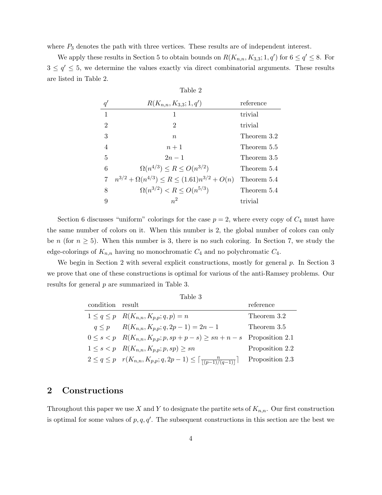where  $P_3$  denotes the path with three vertices. These results are of independent interest.

We apply these results in Section 5 to obtain bounds on  $R(K_{n,n}, K_{3,3}; 1, q')$  for  $6 \leq q' \leq 8$ . For  $3 \leq q' \leq 5$ , we determine the values exactly via direct combinatorial arguments. These results are listed in Table 2.

| Table 2        |                                                            |             |  |
|----------------|------------------------------------------------------------|-------------|--|
| $q^{\prime}$   | $R(K_{n,n}, K_{3,3}; 1, q')$                               | reference   |  |
| $\mathbf{1}$   | 1                                                          | trivial     |  |
| $\overline{2}$ | $\overline{2}$                                             | trivial     |  |
| 3              | $\boldsymbol{n}$                                           | Theorem 3.2 |  |
| $\overline{4}$ | $n+1$                                                      | Theorem 5.5 |  |
| 5              | $2n - 1$                                                   | Theorem 3.5 |  |
| 6              | $\Omega(n^{4/3}) \le R \le O(n^{3/2})$                     | Theorem 5.4 |  |
| 7              | $n^{3/2} + \Omega(n^{4/3}) \le R \le (1.61)n^{3/2} + O(n)$ | Theorem 5.4 |  |
| 8              | $\Omega(n^{3/2}) < R \leq O(n^{5/3})$                      | Theorem 5.4 |  |
| 9              | $n^2$                                                      | trivial     |  |

Section 6 discusses "uniform" colorings for the case  $p = 2$ , where every copy of  $C_4$  must have the same number of colors on it. When this number is 2, the global number of colors can only be n (for  $n \geq 5$ ). When this number is 3, there is no such coloring. In Section 7, we study the edge-colorings of  $K_{n,n}$  having no monochromatic  $C_4$  and no polychromatic  $C_4$ .

We begin in Section 2 with several explicit constructions, mostly for general  $p$ . In Section 3 we prove that one of these constructions is optimal for various of the anti-Ramsey problems. Our results for general p are summarized in Table 3.

| Fable |  |
|-------|--|
|-------|--|

| condition result |                                                                                                             | reference       |
|------------------|-------------------------------------------------------------------------------------------------------------|-----------------|
|                  | $1 \leq q \leq p$ $R(K_{n,n}, K_{p,p}; q, p) = n$                                                           | Theorem 3.2     |
|                  | $q \leq p$ $R(K_{n,n}, K_{p,p}; q, 2p-1) = 2n-1$                                                            | Theorem 3.5     |
|                  | $0 \leq s < p$ $R(K_{n,n}, K_{p,p}; p, sp + p - s) \geq sn + n - s$ Proposition 2.1                         |                 |
|                  | $1 \leq s < p \quad R(K_{n,n}, K_{p,p}; p, sp) \geq sn$                                                     | Proposition 2.2 |
|                  | $2 \leq q \leq p \quad r(K_{n,n}, K_{p,p}; q, 2p-1) \leq \lceil \frac{n}{\lceil (p-1)/(q-1) \rceil} \rceil$ | Proposition 2.3 |

### 2 Constructions

Throughout this paper we use X and Y to designate the partite sets of  $K_{n,n}$ . Our first construction is optimal for some values of  $p, q, q'$ . The subsequent constructions in this section are the best we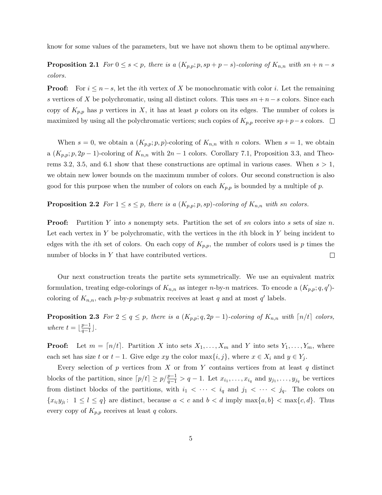know for some values of the parameters, but we have not shown them to be optimal anywhere.

**Proposition 2.1** For  $0 \le s < p$ , there is a  $(K_{p,p}; p, sp+p-s)$ -coloring of  $K_{n,n}$  with  $sn+n-s$ colors.

**Proof:** For  $i \leq n - s$ , let the *i*th vertex of X be monochromatic with color *i*. Let the remaining s vertices of X be polychromatic, using all distinct colors. This uses  $sn + n - s$  colors. Since each copy of  $K_{p,p}$  has p vertices in X, it has at least p colors on its edges. The number of colors is maximized by using all the polychromatic vertices; such copies of  $K_{p,p}$  receive  $sp+p-s$  colors. □

When  $s = 0$ , we obtain a  $(K_{p,p}; p, p)$ -coloring of  $K_{n,n}$  with n colors. When  $s = 1$ , we obtain a  $(K_{p,p}; p, 2p-1)$ -coloring of  $K_{n,n}$  with  $2n-1$  colors. Corollary 7.1, Proposition 3.3, and Theorems 3.2, 3.5, and 6.1 show that these constructions are optimal in various cases. When  $s > 1$ , we obtain new lower bounds on the maximum number of colors. Our second construction is also good for this purpose when the number of colors on each  $K_{p,p}$  is bounded by a multiple of p.

### **Proposition 2.2** For  $1 \leq s \leq p$ , there is a  $(K_{p,p}; p, sp)$ -coloring of  $K_{n,n}$  with sn colors.

**Proof:** Partition Y into s nonempty sets. Partition the set of sn colors into s sets of size n. Let each vertex in  $Y$  be polychromatic, with the vertices in the *i*th block in  $Y$  being incident to edges with the *i*th set of colors. On each copy of  $K_{p,p}$ , the number of colors used is p times the number of blocks in Y that have contributed vertices.  $\Box$ 

Our next construction treats the partite sets symmetrically. We use an equivalent matrix formulation, treating edge-colorings of  $K_{n,n}$  as integer n-by-n matrices. To encode a  $(K_{p,p};q,q')$ coloring of  $K_{n,n}$ , each p-by-p submatrix receives at least q and at most q' labels.

**Proposition 2.3** For  $2 \le q \le p$ , there is a  $(K_{p,p}; q, 2p-1)$ -coloring of  $K_{n,n}$  with  $\lceil n/t \rceil$  colors, where  $t = \frac{p-1}{q-1}$  $\frac{p-1}{q-1}$ ].

**Proof:** Let  $m = \lfloor n/t \rfloor$ . Partition X into sets  $X_1, \ldots, X_m$  and Y into sets  $Y_1, \ldots, Y_m$ , where each set has size t or  $t-1$ . Give edge xy the color max $\{i, j\}$ , where  $x \in X_i$  and  $y \in Y_j$ .

Every selection of  $p$  vertices from  $X$  or from  $Y$  contains vertices from at least  $q$  distinct blocks of the partition, since  $\lceil p/t \rceil \geq p/\frac{p-1}{q-1} > q-1$ . Let  $x_{i_1}, \ldots, x_{i_q}$  and  $y_{j_1}, \ldots, y_{j_q}$  be vertices from distinct blocks of the partitions, with  $i_1 < \cdots < i_q$  and  $j_1 < \cdots < j_q$ . The colors on  ${x_{i_l}}{y_{j_l}}$ :  $1 \leq l \leq q$  are distinct, because  $a < c$  and  $b < d$  imply  $\max\{a, b\} < \max\{c, d\}$ . Thus every copy of  $K_{p,p}$  receives at least q colors.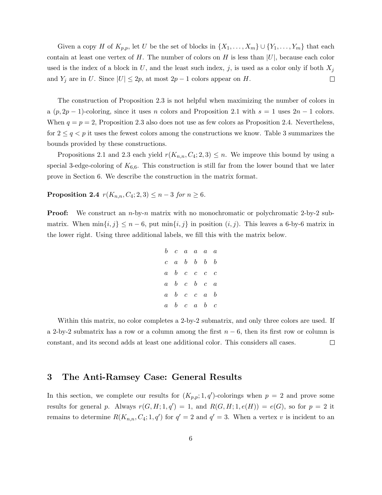Given a copy H of  $K_{p,p}$ , let U be the set of blocks in  $\{X_1, \ldots, X_m\} \cup \{Y_1, \ldots, Y_m\}$  that each contain at least one vertex of H. The number of colors on H is less than  $|U|$ , because each color used is the index of a block in U, and the least such index, j, is used as a color only if both  $X_j$ and  $Y_j$  are in U. Since  $|U| \leq 2p$ , at most  $2p - 1$  colors appear on H.  $\Box$ 

The construction of Proposition 2.3 is not helpful when maximizing the number of colors in a  $(p, 2p - 1)$ -coloring, since it uses n colors and Proposition 2.1 with  $s = 1$  uses  $2n - 1$  colors. When  $q = p = 2$ , Proposition 2.3 also does not use as few colors as Proposition 2.4. Nevertheless, for  $2 \leq q \leq p$  it uses the fewest colors among the constructions we know. Table 3 summarizes the bounds provided by these constructions.

Propositions 2.1 and 2.3 each yield  $r(K_{n,n}, C_4; 2, 3) \leq n$ . We improve this bound by using a special 3-edge-coloring of  $K_{6,6}$ . This construction is still far from the lower bound that we later prove in Section 6. We describe the construction in the matrix format.

**Proposition 2.4**  $r(K_{n,n}, C_4; 2, 3) \leq n-3$  for  $n \geq 6$ .

**Proof:** We construct an  $n$ -by- $n$  matrix with no monochromatic or polychromatic 2-by-2 submatrix. When  $\min\{i, j\} \leq n-6$ , put  $\min\{i, j\}$  in position  $(i, j)$ . This leaves a 6-by-6 matrix in the lower right. Using three additional labels, we fill this with the matrix below.

$$
\begin{array}{ccccccccc} b & c & a & a & a & a \\ c & a & b & b & b & b \\ a & b & c & c & c & c \\ a & b & c & b & c & a \\ a & b & c & c & a & b \\ a & b & c & a & b & c \end{array}
$$

Within this matrix, no color completes a 2-by-2 submatrix, and only three colors are used. If a 2-by-2 submatrix has a row or a column among the first  $n - 6$ , then its first row or column is constant, and its second adds at least one additional color. This considers all cases.  $\Box$ 

### 3 The Anti-Ramsey Case: General Results

In this section, we complete our results for  $(K_{p,p}; 1, q')$ -colorings when  $p = 2$  and prove some results for general p. Always  $r(G, H; 1, q') = 1$ , and  $R(G, H; 1, e(H)) = e(G)$ , so for  $p = 2$  it remains to determine  $R(K_{n,n}, C_4; 1, q')$  for  $q' = 2$  and  $q' = 3$ . When a vertex v is incident to an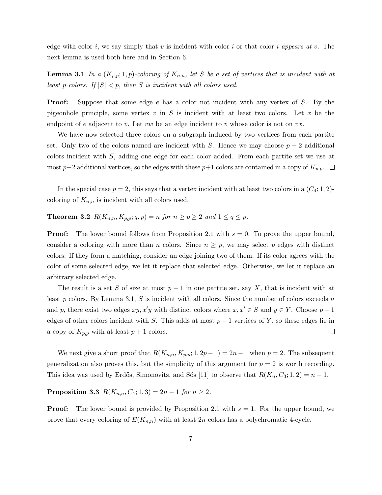edge with color i, we say simply that v is incident with color i or that color i appears at v. The next lemma is used both here and in Section 6.

**Lemma 3.1** In a  $(K_{p,p}; 1, p)$ -coloring of  $K_{n,n}$ , let S be a set of vertices that is incident with at least p colors. If  $|S| < p$ , then S is incident with all colors used.

**Proof:** Suppose that some edge e has a color not incident with any vertex of S. By the pigeonhole principle, some vertex  $v$  in S is incident with at least two colors. Let  $x$  be the endpoint of e adjacent to v. Let vw be an edge incident to v whose color is not on  $vx$ .

We have now selected three colors on a subgraph induced by two vertices from each partite set. Only two of the colors named are incident with S. Hence we may choose  $p-2$  additional colors incident with S, adding one edge for each color added. From each partite set we use at most p−2 additional vertices, so the edges with these p+1 colors are contained in a copy of  $K_{p,p}$ .  $\Box$ 

In the special case  $p = 2$ , this says that a vertex incident with at least two colors in a  $(C_4; 1, 2)$ coloring of  $K_{n,n}$  is incident with all colors used.

**Theorem 3.2**  $R(K_{n,n}, K_{p,p}; q, p) = n$  for  $n \ge p \ge 2$  and  $1 \le q \le p$ .

**Proof:** The lower bound follows from Proposition 2.1 with  $s = 0$ . To prove the upper bound, consider a coloring with more than n colors. Since  $n \geq p$ , we may select p edges with distinct colors. If they form a matching, consider an edge joining two of them. If its color agrees with the color of some selected edge, we let it replace that selected edge. Otherwise, we let it replace an arbitrary selected edge.

The result is a set S of size at most  $p-1$  in one partite set, say X, that is incident with at least  $p$  colors. By Lemma 3.1,  $S$  is incident with all colors. Since the number of colors exceeds  $n$ and p, there exist two edges  $xy, x'y$  with distinct colors where  $x, x' \in S$  and  $y \in Y$ . Choose  $p - 1$ edges of other colors incident with S. This adds at most  $p-1$  vertices of Y, so these edges lie in a copy of  $K_{p,p}$  with at least  $p+1$  colors.  $\Box$ 

We next give a short proof that  $R(K_{n,n}, K_{p,p}; 1, 2p-1) = 2n-1$  when  $p = 2$ . The subsequent generalization also proves this, but the simplicity of this argument for  $p = 2$  is worth recording. This idea was used by Erdős, Simonovits, and Sós [11] to observe that  $R(K_n, C_3; 1, 2) = n - 1$ .

## **Proposition 3.3**  $R(K_{n,n}, C_4; 1, 3) = 2n - 1$  for  $n \ge 2$ .

**Proof:** The lower bound is provided by Proposition 2.1 with  $s = 1$ . For the upper bound, we prove that every coloring of  $E(K_{n,n})$  with at least 2n colors has a polychromatic 4-cycle.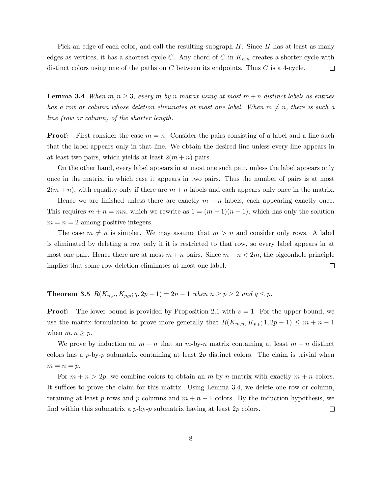Pick an edge of each color, and call the resulting subgraph  $H$ . Since  $H$  has at least as many edges as vertices, it has a shortest cycle C. Any chord of C in  $K_{n,n}$  creates a shorter cycle with distinct colors using one of the paths on  $C$  between its endpoints. Thus  $C$  is a 4-cycle.  $\Box$ 

**Lemma 3.4** When  $m, n \geq 3$ , every m-by-n matrix using at most  $m + n$  distinct labels as entries has a row or column whose deletion eliminates at most one label. When  $m \neq n$ , there is such a line (row or column) of the shorter length.

**Proof:** First consider the case  $m = n$ . Consider the pairs consisting of a label and a line such that the label appears only in that line. We obtain the desired line unless every line appears in at least two pairs, which yields at least  $2(m+n)$  pairs.

On the other hand, every label appears in at most one such pair, unless the label appears only once in the matrix, in which case it appears in two pairs. Thus the number of pairs is at most  $2(m + n)$ , with equality only if there are  $m + n$  labels and each appears only once in the matrix.

Hence we are finished unless there are exactly  $m + n$  labels, each appearing exactly once. This requires  $m + n = mn$ , which we rewrite as  $1 = (m - 1)(n - 1)$ , which has only the solution  $m = n = 2$  among positive integers.

The case  $m \neq n$  is simpler. We may assume that  $m > n$  and consider only rows. A label is eliminated by deleting a row only if it is restricted to that row, so every label appears in at most one pair. Hence there are at most  $m + n$  pairs. Since  $m + n < 2m$ , the pigeonhole principle implies that some row deletion eliminates at most one label.  $\Box$ 

**Theorem 3.5**  $R(K_{n,n}, K_{p,p}; q, 2p − 1) = 2n − 1$  when  $n ≥ p ≥ 2$  and  $q ≤ p$ .

**Proof:** The lower bound is provided by Proposition 2.1 with  $s = 1$ . For the upper bound, we use the matrix formulation to prove more generally that  $R(K_{m,n}, K_{p,p}; 1, 2p-1) \leq m+n-1$ when  $m, n \geq p$ .

We prove by induction on  $m + n$  that an m-by-n matrix containing at least  $m + n$  distinct colors has a  $p$ -by-p submatrix containing at least  $2p$  distinct colors. The claim is trivial when  $m = n = p$ .

For  $m + n > 2p$ , we combine colors to obtain an m-by-n matrix with exactly  $m + n$  colors. It suffices to prove the claim for this matrix. Using Lemma 3.4, we delete one row or column, retaining at least p rows and p columns and  $m + n - 1$  colors. By the induction hypothesis, we find within this submatrix a  $p$ -by- $p$  submatrix having at least  $2p$  colors.  $\Box$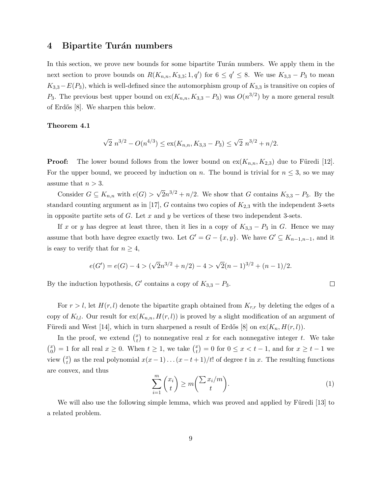### 4 Bipartite Turán numbers

In this section, we prove new bounds for some bipartite Turán numbers. We apply them in the next section to prove bounds on  $R(K_{n,n}, K_{3,3}; 1, q')$  for  $6 \le q' \le 8$ . We use  $K_{3,3} - P_3$  to mean  $K_{3,3}-E(P_3)$ , which is well-defined since the automorphism group of  $K_{3,3}$  is transitive on copies of P<sub>3</sub>. The previous best upper bound on  $ex(K_{n,n}, K_{3,3} - P_3)$  was  $O(n^{3/2})$  by a more general result of Erd˝os [8]. We sharpen this below.

#### Theorem 4.1

$$
\sqrt{2} n^{3/2} - O(n^{4/3}) \le \text{ex}(K_{n,n}, K_{3,3} - P_3) \le \sqrt{2} n^{3/2} + n/2.
$$

**Proof:** The lower bound follows from the lower bound on  $ex(K_{n,n}, K_{2,3})$  due to Füredi [12]. For the upper bound, we proceed by induction on n. The bound is trivial for  $n \leq 3$ , so we may assume that  $n > 3$ .

Consider  $G \subseteq K_{n,n}$  with  $e(G)$  $\overline{2}n^{3/2} + n/2$ . We show that G contains  $K_{3,3} - P_3$ . By the standard counting argument as in [17], G contains two copies of  $K_{2,3}$  with the independent 3-sets in opposite partite sets of G. Let x and y be vertices of these two independent 3-sets.

If x or y has degree at least three, then it lies in a copy of  $K_{3,3} - P_3$  in G. Hence we may assume that both have degree exactly two. Let  $G' = G - \{x, y\}$ . We have  $G' \subseteq K_{n-1,n-1}$ , and it is easy to verify that for  $n \geq 4$ ,

$$
e(G') = e(G) - 4 > (\sqrt{2}n^{3/2} + n/2) - 4 > \sqrt{2}(n-1)^{3/2} + (n-1)/2.
$$

By the induction hypothesis,  $G'$  contains a copy of  $K_{3,3} - P_3$ .

For  $r > l$ , let  $H(r, l)$  denote the bipartite graph obtained from  $K_{r,r}$  by deleting the edges of a copy of  $K_{l,l}$ . Our result for  $ex(K_{n,n}, H(r, l))$  is proved by a slight modification of an argument of Füredi and West [14], which in turn sharpened a result of Erdős [8] on  $ex(K_n, H(r, l))$ .

In the proof, we extend  $\binom{x}{t}$  $_t^x$  to nonnegative real x for each nonnegative integer t. We take  $\binom{x}{0}$  $\binom{x}{0} = 1$  for all real  $x \geq 0$ . When  $t \geq 1$ , we take  $\binom{x}{t}$  $\left( \begin{matrix} x \\ t \end{matrix} \right) = 0$  for  $0 \le x < t - 1$ , and for  $x \ge t - 1$  we view  $\binom{x}{t}$  $x(t)$  as the real polynomial  $x(x-1)...(x-t+1)/t!$  of degree t in x. The resulting functions are convex, and thus

$$
\sum_{i=1}^{m} \binom{x_i}{t} \ge m \binom{\sum x_i/m}{t}.
$$
\n(1)

 $\Box$ 

We will also use the following simple lemma, which was proved and applied by Füredi [13] to a related problem.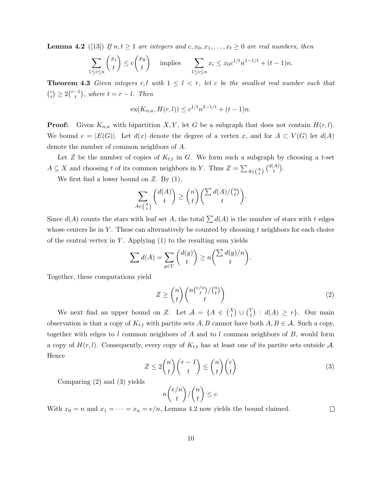**Lemma 4.2** ([13]) If  $n, t \geq 1$  are integers and  $c, x_0, x_1, \ldots, x_t \geq 0$  are real numbers, then

$$
\sum_{1 \le i \le n} \binom{x_i}{t} \le c \binom{x_0}{t} \quad \text{implies} \quad \sum_{1 \le i \le n} x_i \le x_0 c^{1/t} n^{1-1/t} + (t-1)n.
$$

**Theorem 4.3** Given integers r, l with  $1 \leq l \leq r$ , let c be the smallest real number such that  $\binom{c}{t}$  $\binom{c}{t} \geq 2\binom{r-1}{t}$  $\binom{-1}{t}$ , where  $t = r - l$ . Then

$$
\mathrm{ex}(K_{n,n}, H(r,l)) \le c^{1/t} n^{2-1/t} + (t-1)n.
$$

**Proof:** Given  $K_{n,n}$  with bipartition X, Y, let G be a subgraph that does not contain  $H(r, l)$ . We bound  $e = |E(G)|$ . Let  $d(x)$  denote the degree of a vertex x, and for  $A \subset V(G)$  let  $d(A)$ denote the number of common neighbors of A.

Let Z be the number of copies of  $K_{t,t}$  in G. We form such a subgraph by choosing a t-set  $A \subseteq X$  and choosing t of its common neighbors in Y. Thus  $Z = \sum_{A \in {X \choose t}} {d(A) \choose t}$  $\binom{A}{t}$ .

We first find a lower bound on  $Z$ . By  $(1)$ ,

$$
\sum_{A \in {X \choose t}} {d(A) \choose t} \ge {n \choose t} \left( \sum_{t} {d(A)/{n \choose t}} \right).
$$

Since  $d(A)$  counts the stars with leaf set A, the total  $\sum d(A)$  is the number of stars with t edges whose centers lie in  $Y$ . These can alternatively be counted by choosing  $t$  neighbors for each choice of the central vertex in Y. Applying  $(1)$  to the resulting sum yields

$$
\sum d(A) = \sum_{y \in Y} \binom{d(y)}{t} \ge n \binom{\sum d(y)/n}{t}.
$$

Together, these computations yield

$$
Z \ge \binom{n}{t} \binom{n\binom{e/n}{t}/\binom{n}{t}}{t} \tag{2}
$$

We next find an upper bound on Z. Let  $\mathcal{A} = \{A \in {X \choose t} \cup {Y \choose t}\}$  $t<sup>Y</sup>(t)$  :  $d(A) \geq r$ . Our main observation is that a copy of  $K_{t,t}$  with partite sets A, B cannot have both  $A, B \in \mathcal{A}$ . Such a copy, together with edges to l common neighbors of A and to l common neighbors of B, would form a copy of  $H(r, l)$ . Consequently, every copy of  $K_{t,t}$  has at least one of its partite sets outside A. Hence

$$
Z \le 2\binom{n}{t}\binom{r-1}{t} \le \binom{n}{t}\binom{c}{t} \tag{3}
$$

Comparing (2) and (3) yields

$$
n\binom{e/n}{t}/\binom{n}{t} \leq c.
$$

 $\Box$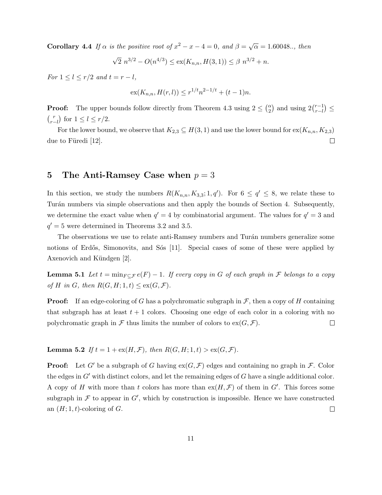**Corollary 4.4** If  $\alpha$  is the positive root of  $x^2 - x - 4 = 0$ , and  $\beta = \sqrt{ }$  $\overline{\alpha} = 1.60048..$ , then

$$
\sqrt{2} n^{3/2} - O(n^{4/3}) \le \text{ex}(K_{n,n}, H(3, 1)) \le \beta n^{3/2} + n.
$$

For  $1 \leq l \leq r/2$  and  $t = r - l$ ,

$$
\mathrm{ex}(K_{n,n}, H(r,l)) \le r^{1/t} n^{2-1/t} + (t-1)n.
$$

**Proof:** The upper bounds follow directly from Theorem 4.3 using  $2 \leq {a \choose 2}$  and using  $2 {r-1 \choose r-l}$  $_{r-l}^{r-1}) \leq$  $\binom{r}{r-l}$  for  $1 \leq l \leq r/2$ .

For the lower bound, we observe that  $K_{2,3} \subseteq H(3,1)$  and use the lower bound for  $ex(K_{n,n}, K_{2,3})$ due to Füredi  $[12]$ .  $\Box$ 

## 5 The Anti-Ramsey Case when  $p = 3$

In this section, we study the numbers  $R(K_{n,n}, K_{3,3}; 1, q')$ . For  $6 \le q' \le 8$ , we relate these to Turán numbers via simple observations and then apply the bounds of Section 4. Subsequently, we determine the exact value when  $q' = 4$  by combinatorial argument. The values for  $q' = 3$  and  $q' = 5$  were determined in Theorems 3.2 and 3.5.

The observations we use to relate anti-Ramsey numbers and Turán numbers generalize some notions of Erdős, Simonovits, and Sós [11]. Special cases of some of these were applied by Axenovich and Kündgen [2].

**Lemma 5.1** Let  $t = \min_{F \subseteq \mathcal{F}} e(F) - 1$ . If every copy in G of each graph in F belongs to a copy of H in G, then  $R(G, H; 1, t) \leq \text{ex}(G, \mathcal{F}).$ 

**Proof:** If an edge-coloring of G has a polychromatic subgraph in  $\mathcal{F}$ , then a copy of H containing that subgraph has at least  $t + 1$  colors. Choosing one edge of each color in a coloring with no polychromatic graph in  $\mathcal F$  thus limits the number of colors to  $\operatorname{ex}(G, \mathcal F)$ .  $\Box$ 

**Lemma 5.2** If  $t = 1 + \text{ex}(H, \mathcal{F})$ , then  $R(G, H; 1, t) > \text{ex}(G, \mathcal{F})$ .

**Proof:** Let G' be a subgraph of G having  $ex(G, \mathcal{F})$  edges and containing no graph in  $\mathcal{F}$ . Color the edges in  $G'$  with distinct colors, and let the remaining edges of  $G$  have a single additional color. A copy of H with more than t colors has more than  $ex(H,\mathcal{F})$  of them in G'. This forces some subgraph in  $\mathcal F$  to appear in  $G'$ , which by construction is impossible. Hence we have constructed an  $(H; 1, t)$ -coloring of  $G$ .  $\Box$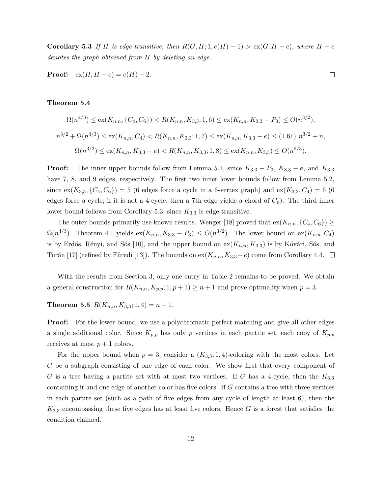Corollary 5.3 If H is edge-transitive, then  $R(G, H; 1, e(H) - 1) > \text{ex}(G, H - e)$ , where  $H - e$ denotes the graph obtained from H by deleting an edge.

**Proof:**  $ex(H, H - e) = e(H) - 2$ .

## $\Box$

### Theorem 5.4

$$
\Omega(n^{4/3}) \le \text{ex}(K_{n,n}, \{C_4, C_6\}) < R(K_{n,n}, K_{3,3}; 1, 6) \le \text{ex}(K_{n,n}, K_{3,3} - P_3) \le O(n^{3/2}),
$$
\n
$$
n^{3/2} + \Omega(n^{4/3}) \le \text{ex}(K_{n,n}, C_4) < R(K_{n,n}, K_{3,3}; 1, 7) \le \text{ex}(K_{n,n}, K_{3,3} - e) \le (1.61) \ n^{3/2} + n,
$$
\n
$$
\Omega(n^{3/2}) \le \text{ex}(K_{n,n}, K_{3,3} - e) < R(K_{n,n}, K_{3,3}; 1, 8) \le \text{ex}(K_{n,n}, K_{3,3}) \le O(n^{5/3}).
$$

**Proof:** The inner upper bounds follow from Lemma 5.1, since  $K_{3,3} - P_3$ ,  $K_{3,3} - e$ , and  $K_{3,3}$ have 7, 8, and 9 edges, respectively. The first two inner lower bounds follow from Lemma 5.2, since  $ex(K_{3,3}, \{C_4, C_6\}) = 5$  (6 edges force a cycle in a 6-vertex graph) and  $ex(K_{3,3}, C_4) = 6$  (6 edges force a cycle; if it is not a 4-cycle, then a 7th edge yields a chord of  $C_6$ ). The third inner lower bound follows from Corollary 5.3, since  $K_{3,3}$  is edge-transitive.

The outer bounds primarily use known results. Wenger [18] proved that  $ex(K_{n,n}, \{C_4, C_6\}) \ge$  $\Omega(n^{4/3})$ . Theorem 4.1 yields  $ex(K_{n,n}, K_{3,3} - P_3) \leq O(n^{3/2})$ . The lower bound on  $ex(K_{n,n}, C_4)$ is by Erdős, Rényi, and Sós [10], and the upper bound on  $ex(K_{n,n}, K_{3,3})$  is by Kővári, Sós, and Turán [17] (refined by Füredi [13]). The bounds on ex( $K_{n,n}, K_{3,3}-e$ ) come from Corollary 4.4.  $\Box$ 

With the results from Section 3, only one entry in Table 2 remains to be proved. We obtain a general construction for  $R(K_{n,n}, K_{p,p}; 1, p+1) \geq n+1$  and prove optimality when  $p=3$ .

**Theorem 5.5**  $R(K_{n,n}, K_{3,3}; 1,4) = n+1.$ 

**Proof:** For the lower bound, we use a polychromatic perfect matching and give all other edges a single additional color. Since  $K_{p,p}$  has only p vertices in each partite set, each copy of  $K_{p,p}$ receives at most  $p + 1$  colors.

For the upper bound when  $p = 3$ , consider a  $(K_{3,3}; 1, 4)$ -coloring with the most colors. Let G be a subgraph consisting of one edge of each color. We show first that every component of G is a tree having a partite set with at most two vertices. If G has a 4-cycle, then the  $K_{3,3}$ containing it and one edge of another color has five colors. If G contains a tree with three vertices in each partite set (such as a path of five edges from any cycle of length at least 6), then the  $K_{3,3}$  encompassing these five edges has at least five colors. Hence G is a forest that satisfies the condition claimed.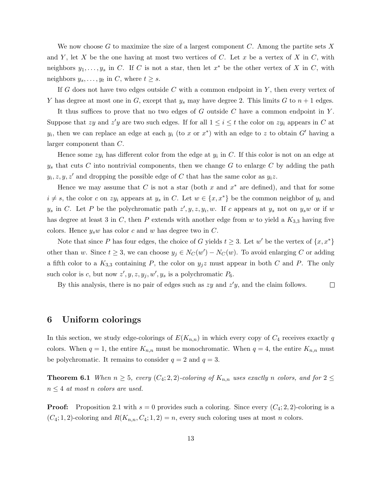We now choose G to maximize the size of a largest component C. Among the partite sets X and Y, let X be the one having at most two vertices of C. Let x be a vertex of X in C, with neighbors  $y_1, \ldots, y_s$  in C. If C is not a star, then let  $x^*$  be the other vertex of X in C, with neighbors  $y_s, \ldots, y_t$  in C, where  $t \geq s$ .

If G does not have two edges outside C with a common endpoint in  $Y$ , then every vertex of Y has degree at most one in G, except that  $y_s$  may have degree 2. This limits G to  $n+1$  edges.

It thus suffices to prove that no two edges of  $G$  outside  $C$  have a common endpoint in  $Y$ . Suppose that zy and z'y are two such edges. If for all  $1 \leq i \leq t$  the color on  $zy_i$  appears in C at  $y_i$ , then we can replace an edge at each  $y_i$  (to x or  $x^*$ ) with an edge to z to obtain  $G'$  having a larger component than C.

Hence some  $zy_i$  has different color from the edge at  $y_i$  in C. If this color is not on an edge at  $y_s$  that cuts C into nontrivial components, then we change G to enlarge C by adding the path  $y_i, z, y, z'$  and dropping the possible edge of C that has the same color as  $y_i z$ .

Hence we may assume that C is not a star (both x and  $x^*$  are defined), and that for some  $i \neq s$ , the color c on zy<sub>i</sub> appears at y<sub>s</sub> in C. Let  $w \in \{x, x^*\}$  be the common neighbor of y<sub>i</sub> and  $y_s$  in C. Let P be the polychromatic path  $z', y, z, y_i, w$ . If c appears at  $y_s$  not on  $y_s w$  or if w has degree at least 3 in C, then P extends with another edge from w to yield a  $K_{3,3}$  having five colors. Hence  $y_sw$  has color c and w has degree two in C.

Note that since P has four edges, the choice of G yields  $t \geq 3$ . Let w' be the vertex of  $\{x, x^*\}$ other than w. Since  $t \geq 3$ , we can choose  $y_j \in N_C(w') - N_C(w)$ . To avoid enlarging C or adding a fifth color to a  $K_{3,3}$  containing P, the color on  $y_jz$  must appear in both C and P. The only such color is c, but now  $z', y, z, y_j, w', y_s$  is a polychromatic  $P_6$ .

By this analysis, there is no pair of edges such as  $zy$  and  $z'y$ , and the claim follows.  $\Box$ 

### 6 Uniform colorings

In this section, we study edge-colorings of  $E(K_{n,n})$  in which every copy of  $C_4$  receives exactly q colors. When  $q = 1$ , the entire  $K_{n,n}$  must be monochromatic. When  $q = 4$ , the entire  $K_{n,n}$  must be polychromatic. It remains to consider  $q = 2$  and  $q = 3$ .

**Theorem 6.1** When  $n \geq 5$ , every  $(C_4; 2, 2)$ -coloring of  $K_{n,n}$  uses exactly n colors, and for  $2 \leq$  $n \leq 4$  at most n colors are used.

**Proof:** Proposition 2.1 with  $s = 0$  provides such a coloring. Since every  $(C_4; 2, 2)$ -coloring is a  $(C_4; 1, 2)$ -coloring and  $R(K_{n,n}, C_4; 1, 2) = n$ , every such coloring uses at most n colors.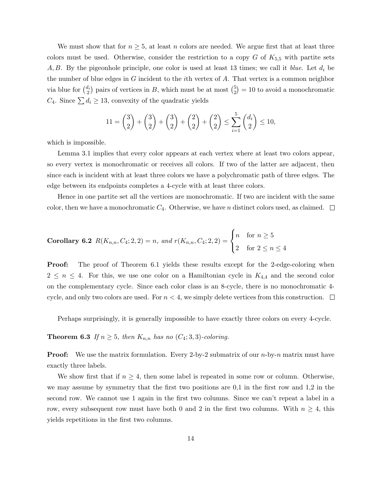We must show that for  $n \geq 5$ , at least n colors are needed. We argue first that at least three colors must be used. Otherwise, consider the restriction to a copy  $G$  of  $K_{5,5}$  with partite sets A, B. By the pigeonhole principle, one color is used at least 13 times; we call it blue. Let  $d_i$  be the number of blue edges in  $G$  incident to the *i*th vertex of  $A$ . That vertex is a common neighbor via blue for  $\binom{d_i}{2}$  pairs of vertices in B, which must be at most  $\binom{5}{2}$  $\binom{5}{2} = 10$  to avoid a monochromatic  $C_4$ . Since  $\sum d_i \geq 13$ , convexity of the quadratic yields

$$
11 = {3 \choose 2} + {3 \choose 2} + {3 \choose 2} + {2 \choose 2} + {2 \choose 2} \le \sum_{i=1}^{5} {d_i \choose 2} \le 10,
$$

which is impossible.

Lemma 3.1 implies that every color appears at each vertex where at least two colors appear, so every vertex is monochromatic or receives all colors. If two of the latter are adjacent, then since each is incident with at least three colors we have a polychromatic path of three edges. The edge between its endpoints completes a 4-cycle with at least three colors.

Hence in one partite set all the vertices are monochromatic. If two are incident with the same color, then we have a monochromatic  $C_4$ . Otherwise, we have n distinct colors used, as claimed.  $\Box$ 

**Corollary 6.2** 
$$
R(K_{n,n}, C_4; 2, 2) = n
$$
, and  $r(K_{n,n}, C_4; 2, 2) = \begin{cases} n & \text{for } n \ge 5 \\ 2 & \text{for } 2 \le n \le 4 \end{cases}$ 

Proof: The proof of Theorem 6.1 yields these results except for the 2-edge-coloring when  $2 \leq n \leq 4$ . For this, we use one color on a Hamiltonian cycle in  $K_{4,4}$  and the second color on the complementary cycle. Since each color class is an 8-cycle, there is no monochromatic 4 cycle, and only two colors are used. For  $n < 4$ , we simply delete vertices from this construction.  $\Box$ 

Perhaps surprisingly, it is generally impossible to have exactly three colors on every 4-cycle.

**Theorem 6.3** If  $n \geq 5$ , then  $K_{n,n}$  has no  $(C_4; 3, 3)$ -coloring.

**Proof:** We use the matrix formulation. Every 2-by-2 submatrix of our  $n$ -by- $n$  matrix must have exactly three labels.

We show first that if  $n \geq 4$ , then some label is repeated in some row or column. Otherwise, we may assume by symmetry that the first two positions are  $0,1$  in the first row and  $1,2$  in the second row. We cannot use 1 again in the first two columns. Since we can't repeat a label in a row, every subsequent row must have both 0 and 2 in the first two columns. With  $n \geq 4$ , this yields repetitions in the first two columns.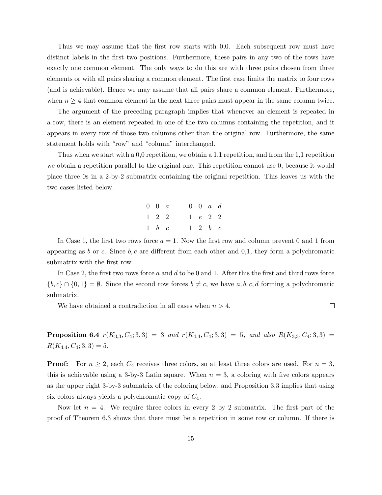Thus we may assume that the first row starts with 0,0. Each subsequent row must have distinct labels in the first two positions. Furthermore, these pairs in any two of the rows have exactly one common element. The only ways to do this are with three pairs chosen from three elements or with all pairs sharing a common element. The first case limits the matrix to four rows (and is achievable). Hence we may assume that all pairs share a common element. Furthermore, when  $n \geq 4$  that common element in the next three pairs must appear in the same column twice.

The argument of the preceding paragraph implies that whenever an element is repeated in a row, there is an element repeated in one of the two columns containing the repetition, and it appears in every row of those two columns other than the original row. Furthermore, the same statement holds with "row" and "column" interchanged.

Thus when we start with a 0,0 repetition, we obtain a 1,1 repetition, and from the 1,1 repetition we obtain a repetition parallel to the original one. This repetition cannot use 0, because it would place three 0s in a 2-by-2 submatrix containing the original repetition. This leaves us with the two cases listed below.

| $0 \quad 0 \quad a$ |  | $0 \quad 0 \quad a \quad d$ |  |
|---------------------|--|-----------------------------|--|
| $1\quad 2\quad 2$   |  | $1\quad e\quad 2\quad 2$    |  |
| $1 \quad b \quad c$ |  | $1\quad 2\quad b\quad c$    |  |

In Case 1, the first two rows force  $a = 1$ . Now the first row and column prevent 0 and 1 from appearing as b or c. Since  $b, c$  are different from each other and 0,1, they form a polychromatic submatrix with the first row.

In Case 2, the first two rows force a and d to be 0 and 1. After this the first and third rows force  ${b, c} \cap {0, 1} = \emptyset$ . Since the second row forces  $b \neq c$ , we have a, b, c, d forming a polychromatic submatrix.

 $\Box$ 

We have obtained a contradiction in all cases when  $n > 4$ .

**Proposition 6.4**  $r(K_{3,3}, C_4; 3, 3) = 3$  and  $r(K_{4,4}, C_4; 3, 3) = 5$ , and also  $R(K_{3,3}, C_4; 3, 3) =$  $R(K_{4,4}, C_4; 3, 3) = 5.$ 

**Proof:** For  $n \geq 2$ , each  $C_4$  receives three colors, so at least three colors are used. For  $n = 3$ , this is achievable using a 3-by-3 Latin square. When  $n = 3$ , a coloring with five colors appears as the upper right 3-by-3 submatrix of the coloring below, and Proposition 3.3 implies that using six colors always yields a polychromatic copy of  $C_4$ .

Now let  $n = 4$ . We require three colors in every 2 by 2 submatrix. The first part of the proof of Theorem 6.3 shows that there must be a repetition in some row or column. If there is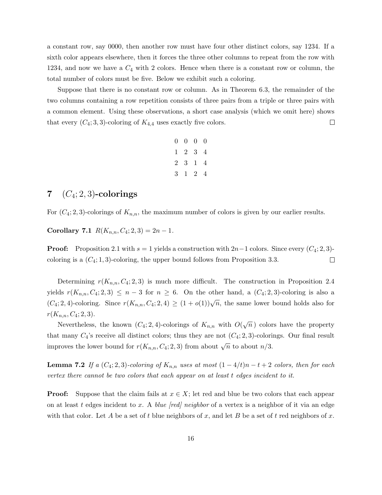a constant row, say 0000, then another row must have four other distinct colors, say 1234. If a sixth color appears elsewhere, then it forces the three other columns to repeat from the row with 1234, and now we have a  $C_4$  with 2 colors. Hence when there is a constant row or column, the total number of colors must be five. Below we exhibit such a coloring.

Suppose that there is no constant row or column. As in Theorem 6.3, the remainder of the two columns containing a row repetition consists of three pairs from a triple or three pairs with a common element. Using these observations, a short case analysis (which we omit here) shows that every  $(C_4; 3, 3)$ -coloring of  $K_{4,4}$  uses exactly five colors.  $\Box$ 

|  | $0\quad 0\quad 0\quad 0$ |  |
|--|--------------------------|--|
|  | $1 \t2 \t3 \t4$          |  |
|  | 2 3 1 4                  |  |
|  | 3 1 2 4                  |  |

# 7  $(C_4; 2, 3)$ -colorings

For  $(C_4; 2, 3)$ -colorings of  $K_{n,n}$ , the maximum number of colors is given by our earlier results.

Corollary 7.1  $R(K_{n,n}, C_4; 2, 3) = 2n - 1$ .

**Proof:** Proposition 2.1 with  $s = 1$  yields a construction with  $2n-1$  colors. Since every  $(C_4; 2, 3)$ coloring is a  $(C_4; 1, 3)$ -coloring, the upper bound follows from Proposition 3.3.  $\Box$ 

Determining  $r(K_{n,n}, C_4; 2, 3)$  is much more difficult. The construction in Proposition 2.4 yields  $r(K_{n,n}, C_4; 2, 3) \leq n-3$  for  $n \geq 6$ . On the other hand, a  $(C_4; 2, 3)$ -coloring is also a (C<sub>4</sub>; 2, 4)-coloring. Since  $r(K_{n,n}, C_4; 2, 4) \ge (1 + o(1))\sqrt{n}$ , the same lower bound holds also for  $r(K_{n,n}, C_4; 2, 3).$ 

Nevertheless, the known  $(C_4; 2, 4)$ -colorings of  $K_{n,n}$  with  $O($  $\overline{n}$ ) colors have the property that many  $C_4$ 's receive all distinct colors; thus they are not  $(C_4; 2, 3)$ -colorings. Our final result improves the lower bound for  $r(K_{n,n}, C_4; 2, 3)$  from about  $\sqrt{n}$  to about  $n/3$ .

**Lemma 7.2** If a  $(C_4; 2, 3)$ -coloring of  $K_{n,n}$  uses at most  $(1-4/t)n - t + 2$  colors, then for each vertex there cannot be two colors that each appear on at least t edges incident to it.

**Proof:** Suppose that the claim fails at  $x \in X$ ; let red and blue be two colors that each appear on at least t edges incident to x. A blue  $\lceil \text{red} \rceil$  neighbor of a vertex is a neighbor of it via an edge with that color. Let A be a set of t blue neighbors of x, and let B be a set of t red neighbors of x.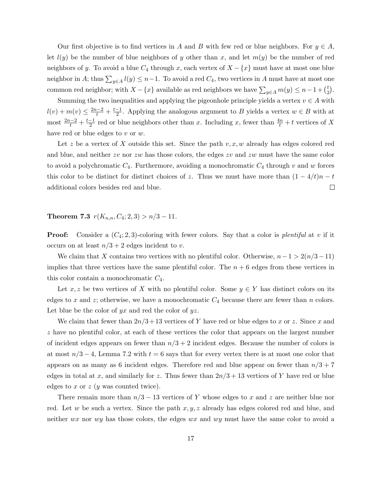Our first objective is to find vertices in A and B with few red or blue neighbors. For  $y \in A$ , let  $l(y)$  be the number of blue neighbors of y other than x, and let  $m(y)$  be the number of red neighbors of y. To avoid a blue  $C_4$  through x, each vertex of  $X - \{x\}$  must have at most one blue neighbor in A; thus  $\sum_{y\in A} l(y) \leq n-1$ . To avoid a red  $C_4$ , two vertices in A must have at most one common red neighbor; with  $X - \{x\}$  available as red neighbors we have  $\sum_{y \in A} m(y) \leq n - 1 + \binom{t}{2}$  $_{2}^{t}).$ 

Summing the two inequalities and applying the pigeonhole principle yields a vertex  $v \in A$  with  $l(v) + m(v) \leq \frac{2n-2}{t} + \frac{t-1}{2}$  $\frac{-1}{2}$ . Applying the analogous argument to B yields a vertex  $w \in B$  with at most  $\frac{2n-2}{t} + \frac{t-1}{2}$  $\frac{-1}{2}$  red or blue neighbors other than x. Including x, fewer than  $\frac{4n}{t} + t$  vertices of X have red or blue edges to  $v$  or  $w$ .

Let z be a vertex of X outside this set. Since the path  $v, x, w$  already has edges colored red and blue, and neither  $zv$  nor  $zw$  has those colors, the edges  $zv$  and  $zw$  must have the same color to avoid a polychromatic  $C_4$ . Furthermore, avoiding a monochromatic  $C_4$  through v and w forces this color to be distinct for distinct choices of z. Thus we must have more than  $(1 - 4/t)n - t$ additional colors besides red and blue.  $\Box$ 

Theorem 7.3  $r(K_{n,n}, C_4; 2, 3) > n/3 - 11$ .

**Proof:** Consider a  $(C_4; 2, 3)$ -coloring with fewer colors. Say that a color is plentiful at v if it occurs on at least  $n/3 + 2$  edges incident to v.

We claim that X contains two vertices with no plentiful color. Otherwise,  $n-1 > 2(n/3-11)$ implies that three vertices have the same plentiful color. The  $n + 6$  edges from these vertices in this color contain a monochromatic  $C_4$ .

Let x, z be two vertices of X with no plentiful color. Some  $y \in Y$  has distinct colors on its edges to x and z; otherwise, we have a monochromatic  $C_4$  because there are fewer than n colors. Let blue be the color of  $yx$  and red the color of  $yz$ .

We claim that fewer than  $2n/3+13$  vertices of Y have red or blue edges to x or z. Since x and z have no plentiful color, at each of these vertices the color that appears on the largest number of incident edges appears on fewer than  $n/3 + 2$  incident edges. Because the number of colors is at most  $n/3 - 4$ , Lemma 7.2 with  $t = 6$  says that for every vertex there is at most one color that appears on as many as 6 incident edges. Therefore red and blue appear on fewer than  $n/3 + 7$ edges in total at x, and similarly for z. Thus fewer than  $2n/3 + 13$  vertices of Y have red or blue edges to  $x$  or  $z$  ( $y$  was counted twice).

There remain more than  $n/3 - 13$  vertices of Y whose edges to x and z are neither blue nor red. Let w be such a vertex. Since the path  $x, y, z$  already has edges colored red and blue, and neither wx nor wy has those colors, the edges wx and wy must have the same color to avoid a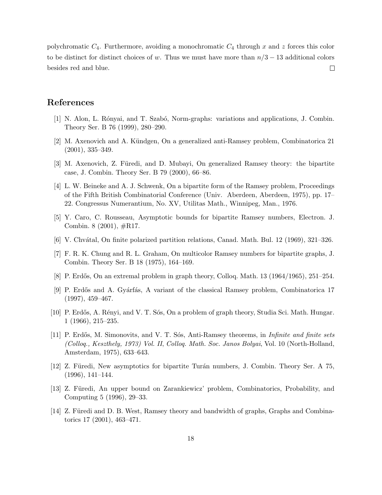polychromatic  $C_4$ . Furthermore, avoiding a monochromatic  $C_4$  through x and z forces this color to be distinct for distinct choices of w. Thus we must have more than  $n/3 - 13$  additional colors besides red and blue.  $\Box$ 

## References

- [1] N. Alon, L. R´onyai, and T. Szab´o, Norm-graphs: variations and applications, J. Combin. Theory Ser. B 76 (1999), 280–290.
- [2] M. Axenovich and A. Kündgen, On a generalized anti-Ramsey problem, Combinatorica 21 (2001), 335–349.
- [3] M. Axenovich, Z. Füredi, and D. Mubayi, On generalized Ramsey theory: the bipartite case, J. Combin. Theory Ser. B 79 (2000), 66–86.
- [4] L. W. Beineke and A. J. Schwenk, On a bipartite form of the Ramsey problem, Proceedings of the Fifth British Combinatorial Conference (Univ. Aberdeen, Aberdeen, 1975), pp. 17– 22. Congressus Numerantium, No. XV, Utilitas Math., Winnipeg, Man., 1976.
- [5] Y. Caro, C. Rousseau, Asymptotic bounds for bipartite Ramsey numbers, Electron. J. Combin. 8 (2001), #R17.
- [6] V. Chv´atal, On finite polarized partition relations, Canad. Math. Bul. 12 (1969), 321–326.
- [7] F. R. K. Chung and R. L. Graham, On multicolor Ramsey numbers for bipartite graphs, J. Combin. Theory Ser. B 18 (1975), 164–169.
- [8] P. Erdős, On an extremal problem in graph theory, Colloq. Math.  $13$  (1964/1965),  $251-254$ .
- [9] P. Erdős and A. Gyárfás, A variant of the classical Ramsey problem, Combinatorica 17 (1997), 459–467.
- [10] P. Erdős, A. Rényi, and V. T. Sós, On a problem of graph theory, Studia Sci. Math. Hungar. 1 (1966), 215–235.
- [11] P. Erdős, M. Simonovits, and V. T. Sós, Anti-Ramsey theorems, in Infinite and finite sets (Colloq., Keszthely, 1973) Vol. II, Colloq. Math. Soc. Janos Bolyai, Vol. 10 (North-Holland, Amsterdam, 1975), 633–643.
- [12] Z. Füredi, New asymptotics for bipartite Turán numbers, J. Combin. Theory Ser. A 75, (1996), 141–144.
- [13] Z. Füredi, An upper bound on Zarankiewicz' problem, Combinatorics, Probability, and Computing 5 (1996), 29–33.
- [14] Z. Füredi and D. B. West, Ramsey theory and bandwidth of graphs, Graphs and Combinatorics 17 (2001), 463–471.